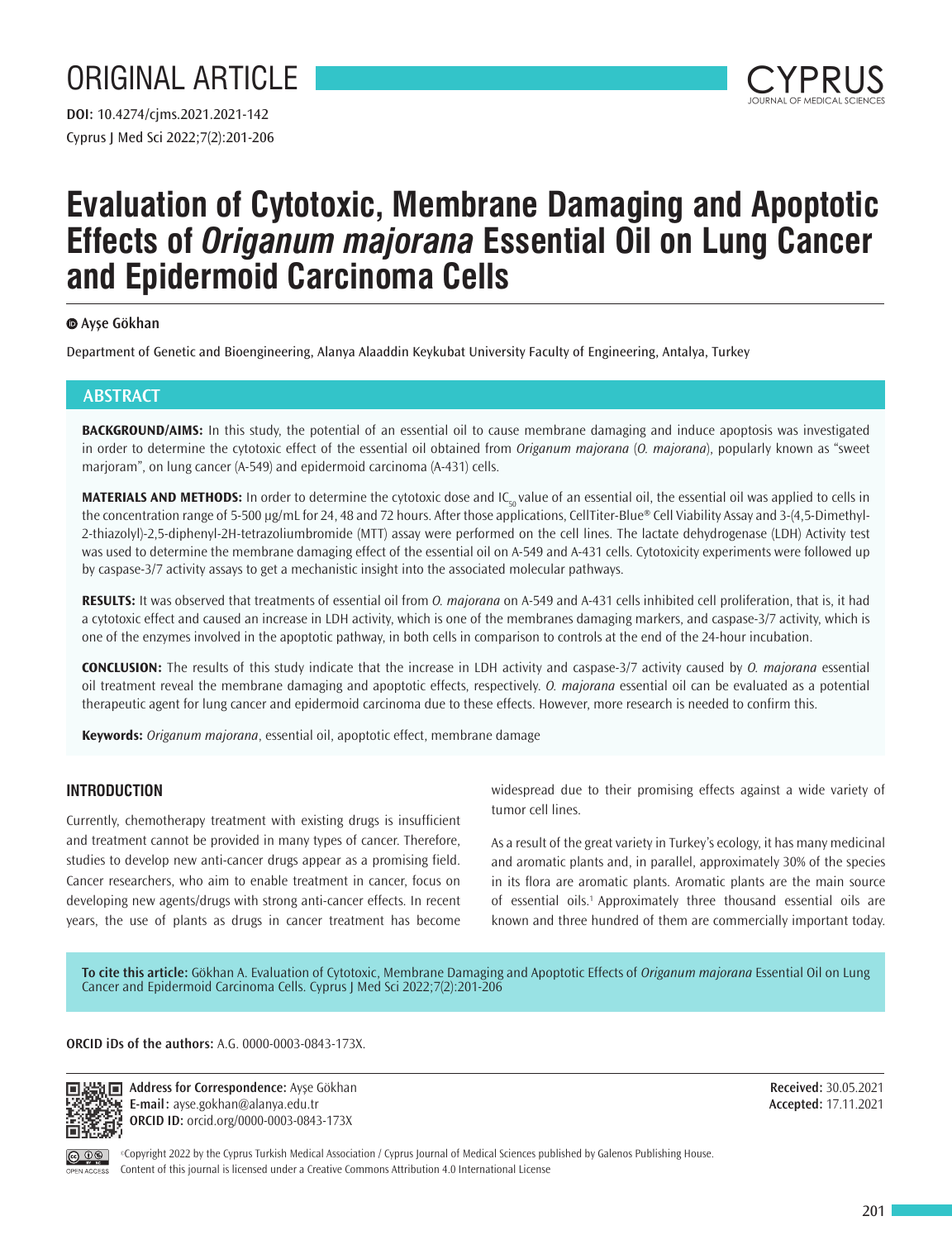

# **Evaluation of Cytotoxic, Membrane Damaging and Apoptotic Effects of** *Origanum majorana* **Essential Oil on Lung Cancer and Epidermoid Carcinoma Cells**

# **Ayşe Gökhan**

Department of Genetic and Bioengineering, Alanya Alaaddin Keykubat University Faculty of Engineering, Antalya, Turkey

# **ABSTRACT**

**BACKGROUND/AIMS:** In this study, the potential of an essential oil to cause membrane damaging and induce apoptosis was investigated in order to determine the cytotoxic effect of the essential oil obtained from *Origanum majorana* (*O. majorana*), popularly known as "sweet marjoram", on lung cancer (A-549) and epidermoid carcinoma (A-431) cells.

MATERIALS AND METHODS: In order to determine the cytotoxic dose and IC<sub>so</sub> value of an essential oil, the essential oil was applied to cells in the concentration range of 5-500 μg/mL for 24, 48 and 72 hours. After those applications, CellTiter-Blue® Cell Viability Assay and 3-(4,5-Dimethyl-2-thiazolyl)-2,5-diphenyl-2H-tetrazoliumbromide (MTT) assay were performed on the cell lines. The lactate dehydrogenase (LDH) Activity test was used to determine the membrane damaging effect of the essential oil on A-549 and A-431 cells. Cytotoxicity experiments were followed up by caspase-3/7 activity assays to get a mechanistic insight into the associated molecular pathways.

**RESULTS:** It was observed that treatments of essential oil from *O. majorana* on A-549 and A-431 cells inhibited cell proliferation, that is, it had a cytotoxic effect and caused an increase in LDH activity, which is one of the membranes damaging markers, and caspase-3/7 activity, which is one of the enzymes involved in the apoptotic pathway, in both cells in comparison to controls at the end of the 24-hour incubation.

**CONCLUSION:** The results of this study indicate that the increase in LDH activity and caspase-3/7 activity caused by *O. majorana* essential oil treatment reveal the membrane damaging and apoptotic effects, respectively. *O. majorana* essential oil can be evaluated as a potential therapeutic agent for lung cancer and epidermoid carcinoma due to these effects. However, more research is needed to confirm this.

**Keywords:** *Origanum majorana*, essential oil, apoptotic effect, membrane damage

# **INTRODUCTION**

Currently, chemotherapy treatment with existing drugs is insufficient and treatment cannot be provided in many types of cancer. Therefore, studies to develop new anti-cancer drugs appear as a promising field. Cancer researchers, who aim to enable treatment in cancer, focus on developing new agents/drugs with strong anti-cancer effects. In recent years, the use of plants as drugs in cancer treatment has become widespread due to their promising effects against a wide variety of tumor cell lines.

As a result of the great variety in Turkey's ecology, it has many medicinal and aromatic plants and, in parallel, approximately 30% of the species in its flora are aromatic plants. Aromatic plants are the main source of essential oils.<sup>1</sup> Approximately three thousand essential oils are known and three hundred of them are commercially important today.

**To cite this article:** Gökhan A. Evaluation of Cytotoxic, Membrane Damaging and Apoptotic Effects of *Origanum majorana* Essential Oil on Lung Cancer and Epidermoid Carcinoma Cells. Cyprus J Med Sci 2022;7(2):201-206

**ORCID iDs of the authors:** A.G. 0000-0003-0843-173X.



**Address for Correspondence:** Ayşe Gökhan **E-mail:** ayse.gokhan@alanya.edu.tr **ORCID ID:** orcid.org/0000-0003-0843-173X

**Received:** 30.05.2021 **Accepted:** 17.11.2021



©Copyright 2022 by the Cyprus Turkish Medical Association / Cyprus Journal of Medical Sciences published by Galenos Publishing House. Content of this journal is licensed under a Creative Commons Attribution 4.0 International License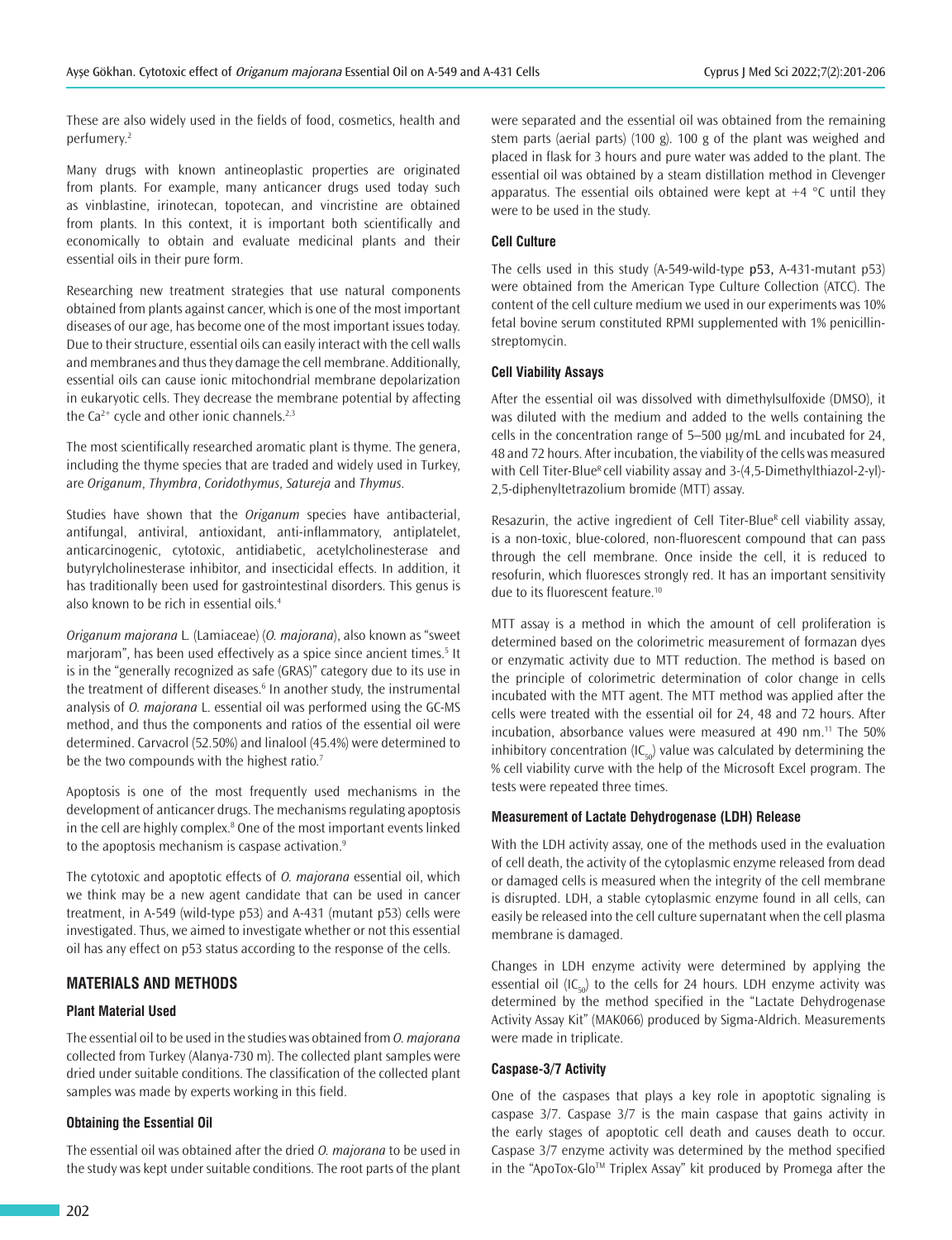These are also widely used in the fields of food, cosmetics, health and perfumery.<sup>2</sup>

Many drugs with known antineoplastic properties are originated from plants. For example, many anticancer drugs used today such as vinblastine, irinotecan, topotecan, and vincristine are obtained from plants. In this context, it is important both scientifically and economically to obtain and evaluate medicinal plants and their essential oils in their pure form.

Researching new treatment strategies that use natural components obtained from plants against cancer, which is one of the most important diseases of our age, has become one of the most important issues today. Due to their structure, essential oils can easily interact with the cell walls and membranes and thus they damage the cell membrane. Additionally, essential oils can cause ionic mitochondrial membrane depolarization in eukaryotic cells. They decrease the membrane potential by affecting the Ca<sup>2+</sup> cycle and other ionic channels.<sup>2,3</sup>

The most scientifically researched aromatic plant is thyme. The genera, including the thyme species that are traded and widely used in Turkey, are *Origanum*, *Thymbra*, *Coridothymus*, *Satureja* and *Thymus*.

Studies have shown that the *Origanum* species have antibacterial, antifungal, antiviral, antioxidant, anti-inflammatory, antiplatelet, anticarcinogenic, cytotoxic, antidiabetic, acetylcholinesterase and butyrylcholinesterase inhibitor, and insecticidal effects. In addition, it has traditionally been used for gastrointestinal disorders. This genus is also known to be rich in essential oils.<sup>4</sup>

*Origanum majorana* L*.* (Lamiaceae) (*O. majorana*), also known as "sweet marjoram", has been used effectively as a spice since ancient times.<sup>5</sup> It is in the "generally recognized as safe (GRAS)" category due to its use in the treatment of different diseases.<sup>6</sup> In another study, the instrumental analysis of *O. majorana* L. essential oil was performed using the GC-MS method, and thus the components and ratios of the essential oil were determined. Carvacrol (52.50%) and linalool (45.4%) were determined to be the two compounds with the highest ratio.<sup>7</sup>

Apoptosis is one of the most frequently used mechanisms in the development of anticancer drugs. The mechanisms regulating apoptosis in the cell are highly complex.<sup>8</sup> One of the most important events linked to the apoptosis mechanism is caspase activation.<sup>9</sup>

The cytotoxic and apoptotic effects of *O. majorana* essential oil, which we think may be a new agent candidate that can be used in cancer treatment, in A-549 (wild-type p53) and A-431 (mutant p53) cells were investigated. Thus, we aimed to investigate whether or not this essential oil has any effect on p53 status according to the response of the cells.

# **MATERIALS AND METHODS**

#### **Plant Material Used**

The essential oil to be used in the studies was obtained from *O. majorana* collected from Turkey (Alanya-730 m). The collected plant samples were dried under suitable conditions. The classification of the collected plant samples was made by experts working in this field.

#### **Obtaining the Essential Oil**

The essential oil was obtained after the dried *O. majorana* to be used in the study was kept under suitable conditions. The root parts of the plant were separated and the essential oil was obtained from the remaining stem parts (aerial parts) (100 g). 100 g of the plant was weighed and placed in flask for 3 hours and pure water was added to the plant. The essential oil was obtained by a steam distillation method in Clevenger apparatus. The essential oils obtained were kept at  $+4$  °C until they were to be used in the study.

#### **Cell Culture**

The cells used in this study (A-549-wild-type p53, A-431-mutant p53) were obtained from the American Type Culture Collection (ATCC). The content of the cell culture medium we used in our experiments was 10% fetal bovine serum constituted RPMI supplemented with 1% penicillinstreptomycin.

## **Cell Viability Assays**

After the essential oil was dissolved with dimethylsulfoxide (DMSO), it was diluted with the medium and added to the wells containing the cells in the concentration range of 5–500 µg/mL and incubated for 24, 48 and 72 hours. After incubation, the viability of the cells was measured with Cell Titer-Blue<sup>R</sup> cell viability assay and 3-(4,5-Dimethylthiazol-2-yl)-2,5-diphenyltetrazolium bromide (MTT) assay.

Resazurin, the active ingredient of Cell Titer-Blue<sup>R</sup> cell viability assay, is a non-toxic, blue-colored, non-fluorescent compound that can pass through the cell membrane. Once inside the cell, it is reduced to resofurin, which fluoresces strongly red. It has an important sensitivity due to its fluorescent feature.<sup>10</sup>

MTT assay is a method in which the amount of cell proliferation is determined based on the colorimetric measurement of formazan dyes or enzymatic activity due to MTT reduction. The method is based on the principle of colorimetric determination of color change in cells incubated with the MTT agent. The MTT method was applied after the cells were treated with the essential oil for 24, 48 and 72 hours. After incubation, absorbance values were measured at 490 nm.<sup>11</sup> The 50% inhibitory concentration  $(IC_{50})$  value was calculated by determining the % cell viability curve with the help of the Microsoft Excel program. The tests were repeated three times.

## **Measurement of Lactate Dehydrogenase (LDH) Release**

With the LDH activity assay, one of the methods used in the evaluation of cell death, the activity of the cytoplasmic enzyme released from dead or damaged cells is measured when the integrity of the cell membrane is disrupted. LDH, a stable cytoplasmic enzyme found in all cells, can easily be released into the cell culture supernatant when the cell plasma membrane is damaged.

Changes in LDH enzyme activity were determined by applying the essential oil  $(IC_{50})$  to the cells for 24 hours. LDH enzyme activity was determined by the method specified in the "Lactate Dehydrogenase Activity Assay Kit" (MAK066) produced by Sigma-Aldrich. Measurements were made in triplicate.

#### **Caspase-3/7 Activity**

One of the caspases that plays a key role in apoptotic signaling is caspase 3/7. Caspase 3/7 is the main caspase that gains activity in the early stages of apoptotic cell death and causes death to occur. Caspase 3/7 enzyme activity was determined by the method specified in the "ApoTox-Glo™ Triplex Assay" kit produced by Promega after the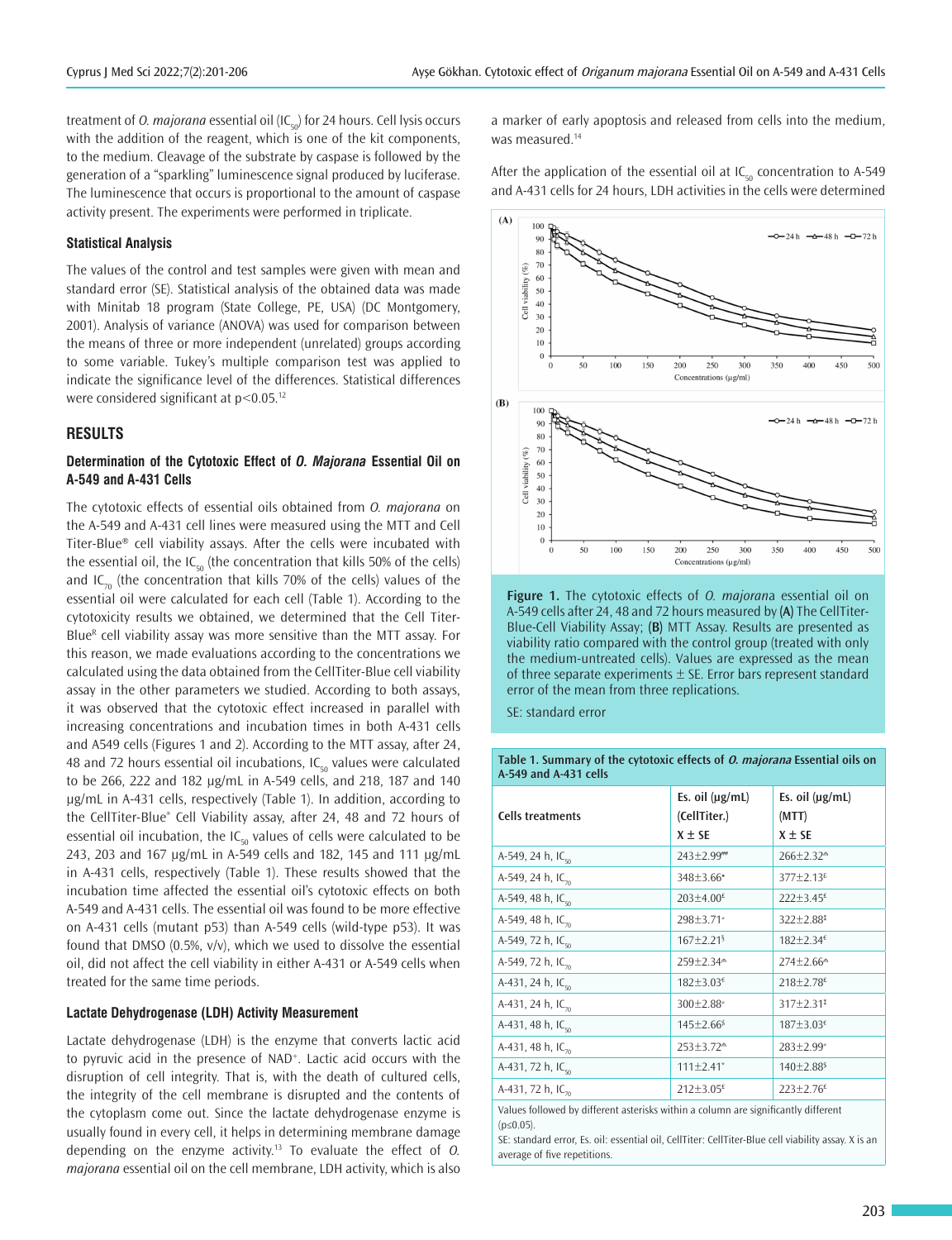treatment of *O. majorana* essential oil (IC<sub>co</sub>) for 24 hours. Cell lysis occurs with the addition of the reagent, which is one of the kit components, to the medium. Cleavage of the substrate by caspase is followed by the generation of a "sparkling" luminescence signal produced by luciferase. The luminescence that occurs is proportional to the amount of caspase activity present. The experiments were performed in triplicate.

## **Statistical Analysis**

The values of the control and test samples were given with mean and standard error (SE). Statistical analysis of the obtained data was made with Minitab 18 program (State College, PE, USA) (DC Montgomery, 2001). Analysis of variance (ANOVA) was used for comparison between the means of three or more independent (unrelated) groups according to some variable. Tukey's multiple comparison test was applied to indicate the significance level of the differences. Statistical differences were considered significant at  $p < 0.05$ .<sup>12</sup>

#### **RESULTS**

## **Determination of the Cytotoxic Effect of** *O. Majorana* **Essential Oil on A-549 and A-431 Cells**

The cytotoxic effects of essential oils obtained from *O. majorana* on the A-549 and A-431 cell lines were measured using the MTT and Cell Titer-Blue® cell viability assays. After the cells were incubated with the essential oil, the IC<sub>50</sub> (the concentration that kills 50% of the cells) and IC<sub>70</sub> (the concentration that kills 70% of the cells) values of the essential oil were calculated for each cell (Table 1). According to the cytotoxicity results we obtained, we determined that the Cell Titer-Blue<sup>R</sup> cell viability assay was more sensitive than the MTT assay. For this reason, we made evaluations according to the concentrations we calculated using the data obtained from the CellTiter-Blue cell viability assay in the other parameters we studied. According to both assays, it was observed that the cytotoxic effect increased in parallel with increasing concentrations and incubation times in both A-431 cells and A549 cells (Figures 1 and 2). According to the MTT assay, after 24, 48 and 72 hours essential oil incubations, IC<sub>50</sub> values were calculated to be 266, 222 and 182 µg/mL in A-549 cells, and 218, 187 and 140 µg/mL in A-431 cells, respectively (Table 1). In addition, according to the CellTiter-Blue® Cell Viability assay, after 24, 48 and 72 hours of essential oil incubation, the IC<sub>50</sub> values of cells were calculated to be 243, 203 and 167 µg/mL in A-549 cells and 182, 145 and 111 µg/mL in A-431 cells, respectively (Table 1). These results showed that the incubation time affected the essential oil's cytotoxic effects on both A-549 and A-431 cells. The essential oil was found to be more effective on A-431 cells (mutant p53) than A-549 cells (wild-type p53). It was found that DMSO (0.5%, v/v), which we used to dissolve the essential oil, did not affect the cell viability in either A-431 or A-549 cells when treated for the same time periods.

## **Lactate Dehydrogenase (LDH) Activity Measurement**

Lactate dehydrogenase (LDH) is the enzyme that converts lactic acid to pyruvic acid in the presence of NAD<sup>+</sup>. Lactic acid occurs with the disruption of cell integrity. That is, with the death of cultured cells, the integrity of the cell membrane is disrupted and the contents of the cytoplasm come out. Since the lactate dehydrogenase enzyme is usually found in every cell, it helps in determining membrane damage depending on the enzyme activity.<sup>13</sup> To evaluate the effect of *O. majorana* essential oil on the cell membrane, LDH activity, which is also

a marker of early apoptosis and released from cells into the medium, was measured.<sup>14</sup>

After the application of the essential oil at  $IC_{50}$  concentration to A-549 and A-431 cells for 24 hours, LDH activities in the cells were determined



**Figure 1.** The cytotoxic effects of *O. majoran*a essential oil on A-549 cells after 24, 48 and 72 hours measured by **(A)** The CellTiter-Blue-Cell Viability Assay; **(B)** MTT Assay. Results are presented as viability ratio compared with the control group (treated with only the medium-untreated cells). Values are expressed as the mean of three separate experiments  $\pm$  SE. Error bars represent standard error of the mean from three replications.

SE: standard error

**Table 1. Summary of the cytotoxic effects of O. majorana Essential oils on A-549 and A-431 cells**

| <b>Cells treatments</b>       | Es. oil $(\mu g/mL)$<br>(CellTiter.)<br>$X \pm SE$ | Es. oil $(\mu g/mL)$<br>(MTT)<br>$X \pm SE$ |
|-------------------------------|----------------------------------------------------|---------------------------------------------|
| A-549, 24 h, IC <sub>co</sub> | $243 \pm 2.99$ ""                                  | 266±2.32 <sup>m</sup>                       |
| A-549, 24 h, $IC_{70}$        | 348±3.66*                                          | $377 \pm 2.13^{\epsilon}$                   |
| A-549, 48 h, IC <sub>co</sub> | $203 \pm 4.00$ £                                   | $222 \pm 3.45$ £                            |
| A-549, 48 h, $IC_{70}$        | 298±3.71*                                          | $322 \pm 2.88^*$                            |
| A-549, 72 h, IC <sub>50</sub> | $167 \pm 2.21$ <sup>§</sup>                        | $182 \pm 2.34^{\epsilon}$                   |
| A-549, 72 h, IC <sub>70</sub> | 259±2.34 <sup>m</sup>                              | 274±2.66 <sup>®</sup>                       |
| A-431, 24 h, $IC_{50}$        | $182 \pm 3.03^{\epsilon}$                          | $218 \pm 2.78$ <sup>£</sup>                 |
| A-431, 24 h, $IC_{70}$        | $300 \pm 2.88$ <sup>*</sup>                        | 317±2.31 <sup>*</sup>                       |
| A-431, 48 h, IC <sub>co</sub> | $145 \pm 2.66^{\frac{2}{3}}$                       | $187 + 3.03^{\epsilon}$                     |
| A-431, 48 h, IC <sub>70</sub> | 253±3.72 <sup>m</sup>                              | 283±2.99*                                   |
| A-431, 72 h, IC <sub>co</sub> | $111 \pm 2.41$ <sup>*</sup>                        | $140 \pm 2.88$ <sup>\$</sup>                |
| A-431, 72 h, IC <sub>70</sub> | $212 \pm 3.05$ <sup>£</sup>                        | $223 \pm 2.76$ £                            |

Values followed by different asterisks within a column are significantly different  $(n<0.05)$ 

SE: standard error, Es. oil: essential oil, CellTiter: CellTiter-Blue cell viability assay. X is an average of five repetitions.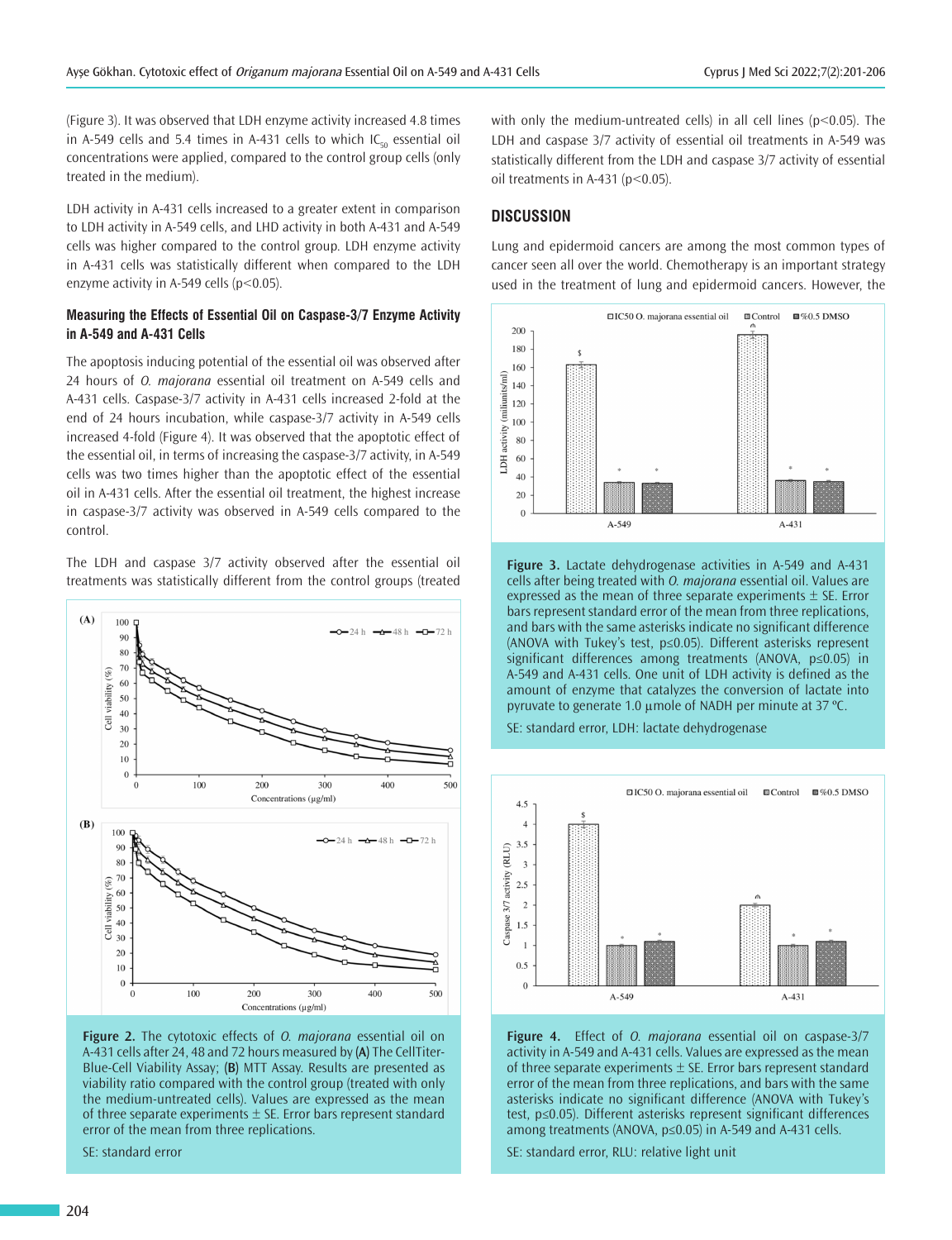(Figure 3). It was observed that LDH enzyme activity increased 4.8 times in A-549 cells and 5.4 times in A-431 cells to which  $IC_{50}$  essential oil concentrations were applied, compared to the control group cells (only treated in the medium).

LDH activity in A-431 cells increased to a greater extent in comparison to LDH activity in A-549 cells, and LHD activity in both A-431 and A-549 cells was higher compared to the control group. LDH enzyme activity in A-431 cells was statistically different when compared to the LDH enzyme activity in A-549 cells (p<0.05).

# **Measuring the Effects of Essential Oil on Caspase-3/7 Enzyme Activity in A-549 and A-431 Cells**

The apoptosis inducing potential of the essential oil was observed after 24 hours of *O. majorana* essential oil treatment on A-549 cells and A-431 cells. Caspase-3/7 activity in A-431 cells increased 2-fold at the end of 24 hours incubation, while caspase-3/7 activity in A-549 cells increased 4-fold (Figure 4). It was observed that the apoptotic effect of the essential oil, in terms of increasing the caspase-3/7 activity, in A-549 cells was two times higher than the apoptotic effect of the essential oil in A-431 cells. After the essential oil treatment, the highest increase in caspase-3/7 activity was observed in A-549 cells compared to the control.

The LDH and caspase 3/7 activity observed after the essential oil treatments was statistically different from the control groups (treated



**Figure 2.** The cytotoxic effects of *O. majorana* essential oil on A-431 cells after 24, 48 and 72 hours measured by **(A)** The CellTiter-Blue-Cell Viability Assay; **(B)** MTT Assay. Results are presented as viability ratio compared with the control group (treated with only the medium-untreated cells). Values are expressed as the mean of three separate experiments  $\pm$  SE. Error bars represent standard error of the mean from three replications.

SE: standard error

with only the medium-untreated cells) in all cell lines (p<0.05). The LDH and caspase 3/7 activity of essential oil treatments in A-549 was statistically different from the LDH and caspase 3/7 activity of essential oil treatments in A-431 ( $p$ <0.05).

# **DISCUSSION**

Lung and epidermoid cancers are among the most common types of cancer seen all over the world. Chemotherapy is an important strategy used in the treatment of lung and epidermoid cancers. However, the



**Figure 3.** Lactate dehydrogenase activities in A-549 and A-431 cells after being treated with *O. majorana* essential oil. Values are expressed as the mean of three separate experiments  $\pm$  SE. Error bars represent standard error of the mean from three replications, and bars with the same asterisks indicate no significant difference (ANOVA with Tukey's test, p≤0.05). Different asterisks represent significant differences among treatments (ANOVA, p≤0.05) in A-549 and A-431 cells. One unit of LDH activity is defined as the amount of enzyme that catalyzes the conversion of lactate into pyruvate to generate 1.0 µmole of NADH per minute at 37 ºC.

SE: standard error, LDH: lactate dehydrogenase



**Figure 4.** Effect of *O. majorana* essential oil on caspase-3/7 activity in A-549 and A-431 cells. Values are expressed as the mean of three separate experiments  $\pm$  SE. Error bars represent standard error of the mean from three replications, and bars with the same asterisks indicate no significant difference (ANOVA with Tukey's test, p≤0.05). Different asterisks represent significant differences among treatments (ANOVA, p≤0.05) in A-549 and A-431 cells.

SE: standard error, RLU: relative light unit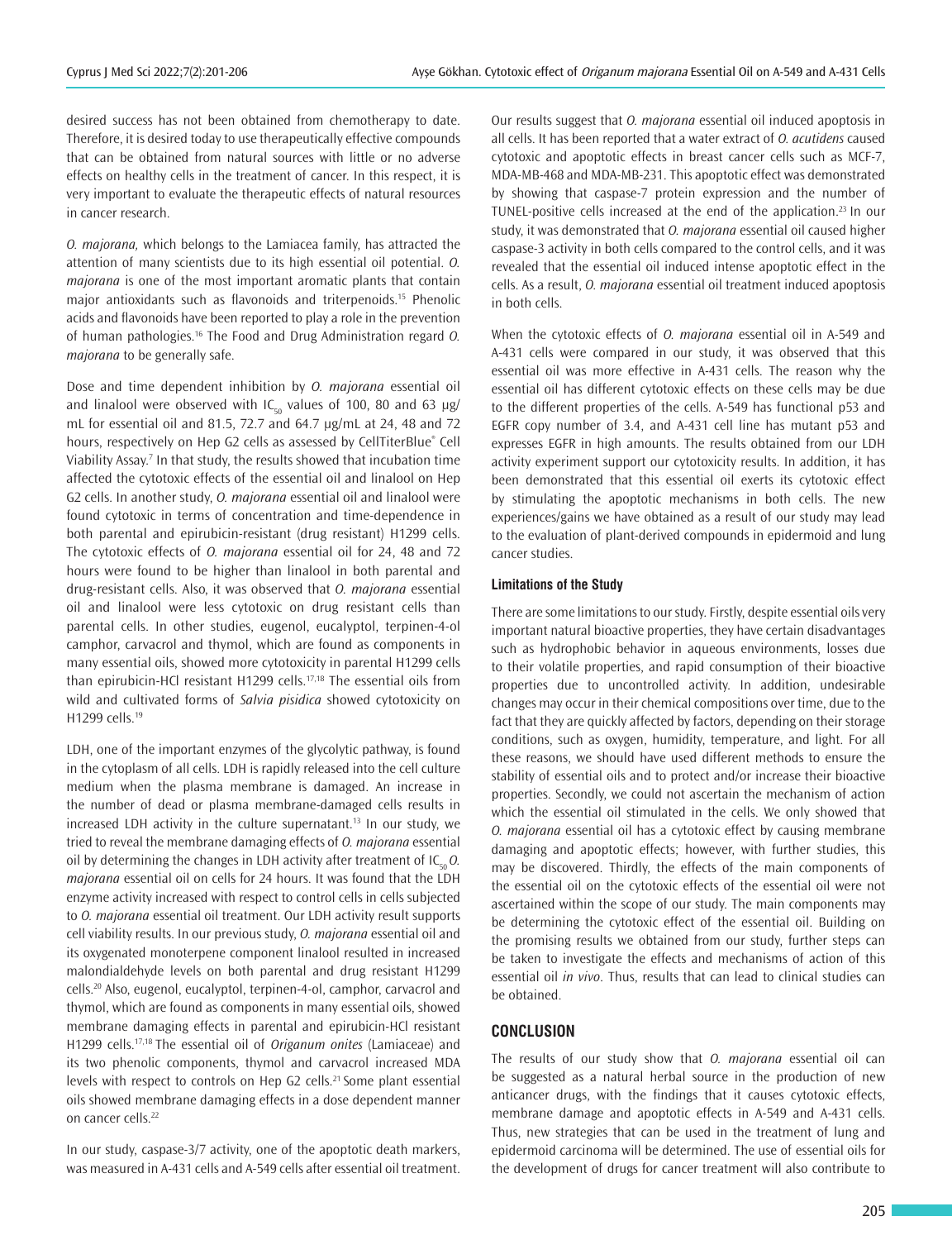desired success has not been obtained from chemotherapy to date. Therefore, it is desired today to use therapeutically effective compounds that can be obtained from natural sources with little or no adverse effects on healthy cells in the treatment of cancer. In this respect, it is very important to evaluate the therapeutic effects of natural resources in cancer research.

*O. majorana,* which belongs to the Lamiacea family, has attracted the attention of many scientists due to its high essential oil potential. *O. majorana* is one of the most important aromatic plants that contain major antioxidants such as flavonoids and triterpenoids.<sup>15</sup> Phenolic acids and flavonoids have been reported to play a role in the prevention of human pathologies.<sup>16</sup> The Food and Drug Administration regard *O. majorana* to be generally safe.

Dose and time dependent inhibition by *O. majorana* essential oil and linalool were observed with IC<sub>50</sub> values of 100, 80 and 63  $\mu$ g/ mL for essential oil and 81.5, 72.7 and 64.7 μg/mL at 24, 48 and 72 hours, respectively on Hep G2 cells as assessed by CellTiterBlue® Cell Viability Assay.<sup>7</sup> In that study, the results showed that incubation time affected the cytotoxic effects of the essential oil and linalool on Hep G2 cells. In another study, *O. majorana* essential oil and linalool were found cytotoxic in terms of concentration and time-dependence in both parental and epirubicin-resistant (drug resistant) H1299 cells. The cytotoxic effects of *O. majorana* essential oil for 24, 48 and 72 hours were found to be higher than linalool in both parental and drug-resistant cells. Also, it was observed that *O. majorana* essential oil and linalool were less cytotoxic on drug resistant cells than parental cells. In other studies, eugenol, eucalyptol, terpinen-4-ol camphor, carvacrol and thymol, which are found as components in many essential oils, showed more cytotoxicity in parental H1299 cells than epirubicin-HCl resistant H1299 cells.17,18 The essential oils from wild and cultivated forms of *Salvia pisidica* showed cytotoxicity on H1299 cells.<sup>19</sup>

LDH, one of the important enzymes of the glycolytic pathway, is found in the cytoplasm of all cells. LDH is rapidly released into the cell culture medium when the plasma membrane is damaged. An increase in the number of dead or plasma membrane-damaged cells results in increased LDH activity in the culture supernatant.<sup>13</sup> In our study, we tried to reveal the membrane damaging effects of *O. majorana* essential oil by determining the changes in LDH activity after treatment of  $IC_{50}$ *O. majorana* essential oil on cells for 24 hours. It was found that the LDH enzyme activity increased with respect to control cells in cells subjected to *O. majorana* essential oil treatment. Our LDH activity result supports cell viability results. In our previous study, *O. majorana* essential oil and its oxygenated monoterpene component linalool resulted in increased malondialdehyde levels on both parental and drug resistant H1299 cells.<sup>20</sup> Also, eugenol, eucalyptol, terpinen-4-ol, camphor, carvacrol and thymol, which are found as components in many essential oils, showed membrane damaging effects in parental and epirubicin-HCl resistant H1299 cells.17,18 The essential oil of *Origanum onites* (Lamiaceae) and its two phenolic components, thymol and carvacrol increased MDA levels with respect to controls on Hep G2 cells.<sup>21</sup> Some plant essential oils showed membrane damaging effects in a dose dependent manner on cancer cells.<sup>22</sup>

In our study, caspase-3/7 activity, one of the apoptotic death markers, was measured in A-431 cells and A-549 cells after essential oil treatment.

Our results suggest that *O. majorana* essential oil induced apoptosis in all cells. It has been reported that a water extract of *O. acutidens* caused cytotoxic and apoptotic effects in breast cancer cells such as MCF-7, MDA-MB-468 and MDA-MB-231. This apoptotic effect was demonstrated by showing that caspase-7 protein expression and the number of TUNEL-positive cells increased at the end of the application.<sup>23</sup> In our study, it was demonstrated that *O. majorana* essential oil caused higher caspase-3 activity in both cells compared to the control cells, and it was revealed that the essential oil induced intense apoptotic effect in the cells. As a result, *O. majorana* essential oil treatment induced apoptosis in both cells.

When the cytotoxic effects of *O. majorana* essential oil in A-549 and A-431 cells were compared in our study, it was observed that this essential oil was more effective in A-431 cells. The reason why the essential oil has different cytotoxic effects on these cells may be due to the different properties of the cells. A-549 has functional p53 and EGFR copy number of 3.4, and A-431 cell line has mutant p53 and expresses EGFR in high amounts. The results obtained from our LDH activity experiment support our cytotoxicity results. In addition, it has been demonstrated that this essential oil exerts its cytotoxic effect by stimulating the apoptotic mechanisms in both cells. The new experiences/gains we have obtained as a result of our study may lead to the evaluation of plant-derived compounds in epidermoid and lung cancer studies.

#### **Limitations of the Study**

There are some limitations to our study. Firstly, despite essential oils very important natural bioactive properties, they have certain disadvantages such as hydrophobic behavior in aqueous environments, losses due to their volatile properties, and rapid consumption of their bioactive properties due to uncontrolled activity. In addition, undesirable changes may occur in their chemical compositions over time, due to the fact that they are quickly affected by factors, depending on their storage conditions, such as oxygen, humidity, temperature, and light. For all these reasons, we should have used different methods to ensure the stability of essential oils and to protect and/or increase their bioactive properties. Secondly, we could not ascertain the mechanism of action which the essential oil stimulated in the cells. We only showed that *O. majorana* essential oil has a cytotoxic effect by causing membrane damaging and apoptotic effects; however, with further studies, this may be discovered. Thirdly, the effects of the main components of the essential oil on the cytotoxic effects of the essential oil were not ascertained within the scope of our study. The main components may be determining the cytotoxic effect of the essential oil. Building on the promising results we obtained from our study, further steps can be taken to investigate the effects and mechanisms of action of this essential oil *in vivo*. Thus, results that can lead to clinical studies can be obtained.

# **CONCLUSION**

The results of our study show that *O. majorana* essential oil can be suggested as a natural herbal source in the production of new anticancer drugs, with the findings that it causes cytotoxic effects, membrane damage and apoptotic effects in A-549 and A-431 cells. Thus, new strategies that can be used in the treatment of lung and epidermoid carcinoma will be determined. The use of essential oils for the development of drugs for cancer treatment will also contribute to